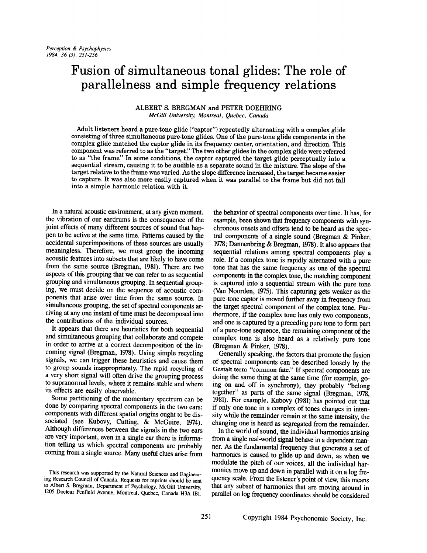# **Fusion of simultaneous tonal glides: The role of parallelness and simple frequency relations**

# **ALBERT S.** BREGMAN and PETER DOEHRING *McGill University, Montreal, Quebec, Canada*

Adult listeners heard a pure-tone glide ("captor") repeatedly alternating with a complex glide consisting of three simultaneous pure-tone glides. One of the pure-tone glide components in the complex glide matched the captor glide in its frequency center, orientation, and direction. This component was referred to as the "target:' The two other glides in the complex glide were referred to as "the frame:' In some conditions, the captor captured the target glide perceptually into a sequential stream, causing it to be audible as a separate sound in the mixture. The slope of the target relative to the frame was varied. As the slope difference increased, the target became easier to capture. It was also more easily captured when it was parallel to the frame but did not fall into a simple harmonic relation with it.

In a natural acoustic environment, at any given moment, the vibration of our eardrums is the consequence of the joint effects of many different sources of sound that happen to be active at the same time. Patterns caused by the accidental superimpositions of these sources are usually meaningless. Therefore, we must group the incoming acoustic features into subsets that are likely to have come from the same source (Bregman, 1981). There are two aspects of this grouping that we can refer to as sequential grouping and simultaneous grouping. In sequential grouping, we must decide on the sequence of acoustic components that arise over time from the same source. In simultaneous grouping, the set of spectral components arriving at any one instant of time must be decomposed into the contributions of the individual sources.

It appears that there are heuristics for both sequential and simultaneous grouping that collaborate and compete in order to arrive at a correct decomposition of the incoming signal (Bregman, 1978). Using simple recycling signals, we can trigger these heuristics and cause them to group sounds inappropriately. The rapid recycling of a very short signal will often drive the grouping process to supranormal levels, where it remains stable and where its effects are easily observable.

Some partitioning of the momentary spectrum can be done by comparing spectral components in the two ears: components with different spatial origins ought to be dissociated (see Kubovy, Cutting, & McGuire, 1974). Although differences between the signals in the two ears are very important, even in a single ear there is information telling us which spectral components are probably coming from a single source. Many useful clues arise from

the behavior of spectral components over time. It has, for example, been shown that frequency components with synchronous onsets and offsets tend to be heard as the spectral components of a single sound (Bregman & Pinker, 1978; Dannenbring & Bregman, 1978). It also appears that sequential relations among spectral components play a role. If a complex tone is rapidly alternated with a pure tone that has the same frequency as one of the spectral components in the complex tone, the matching component is captured into a sequential stream with the pure tone (Van Noorden, 1975). This capturing gets weaker as the pure-tone captor is moved further away in frequency from the target spectral component of the complex tone. Furthermore, if the complex tone has only two components, and one is captured by a preceding pure tone to form part of a pure-tone sequence, the remaining component of the complex tone is also heard as a relatively pure tone (Bregman & Pinker, 1978).

Generally speaking, the factors that promote the fusion of spectral components can be described loosely by the Gestalt term "common fate." If spectral components are doing the same thing at the same time (for example, going on and off in synchrony), they probably "belong together" as parts of the same signal (Bregman, 1978, 1981). For example, Kubovy (1981) has pointed out that if only one tone in a complex of tones changes in intensity while the remainder remain at the same intensity, the changing one is heard as segregated from the remainder.

In the world of sound, the individual harmonics arising from a single real-world signal behave in a dependent manner. As the fundamental frequency that generates a set of harmonics is caused to glide up and down, as when we modulate the pitch of our voices, all the individual harmonics move up and down in parallel with it on a log frequency scale. From the listener's point of view, this means that any subset of harmonics that are moving around in parallel on log frequency coordinates should be considered

This research was supported by the Natural Sciences and Engineering Research Council of Canada. Requests for reprints should be sent to Albert S. Bregman, Department of Psychology, McGill University, 1205 Docteur Penfield Avenue, Montreal, Quebec, Canada H3A 1B1.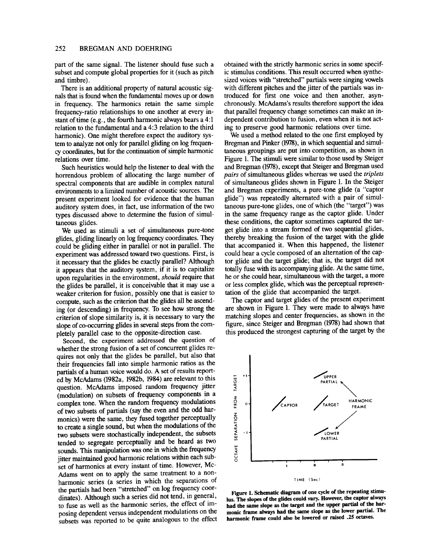part of the same signal. The listener should fuse such a subset and compute global properties for it (such as pitch and timbre).

There is an additional property of natural acoustic signals that is found when the fundamental moves up or down in frequency. The harmonics retain the same simple frequency-ratio relationships to one another at every instant of time (e.g., the fourth harmonic always bears a 4:1 relation to the fundamental and a 4:3 relation to the third harmonic). One might therefore expect the auditory system to analyze not only for parallel gliding on log frequency coordinates, but for the continuation of simple harmonic relations over time.

Such heuristics would help the listener to deal with the horrendous problem of allocating the large number of spectral components that are audible in complex natural environments to a limited number of acoustic sources. The present experiment looked for evidence that the human auditory system does, in fact, use information of the two types discussed above to determine the fusion of simultaneous glides.

We used as stimuli a set of simultaneous pure-tone glides, gliding linearly on log frequency coordinates. They could be gliding either in parallel or not in parallel. The experiment was addressed toward two questions. First, is it necessary that the glides be exactly parallel? Although it appears that the auditory system, if it is to capitalize upon regularities in the environment, *should* require that the glides be parallel, it is conceivable that it may use a weaker criterion for fusion, possibly one that is easier to compute, such as the criterion that the glides all be ascending (or descending) in frequency. To see how strong the criterion of slope similarity is, it is necessary to vary the slope of co-occurring glides in several steps from the completely parallel case to the opposite-direction case.

Second, the experiment addressed the question of whether the strong fusion of a set of concurrent glides requires not only that the glides be parallel, but also that their frequencies fall into simple harmonic ratios as the partials of a human voice would do. A set of results reported by McAdams (1982a, 1982b, 1984) are relevant to this question. McAdams imposed random frequency jitter (modulation) on subsets of frequency components in a complex tone. When the random frequency modulations of two subsets of partials (say the even and the odd harmonics) were the same, they fused together perceptually to create a single sound, but when the modulations of the two subsets were stochastically independent, the subsets tended to segregate perceptually and be heard as two sounds. This manipulation was one in which the frequency jitter maintained good harmonic relations within each subset of harmonics at every instant of time. However, Mc-Adams went on to apply the same treatment to a nonharmonic series (a series in which the separations of the partials had been "stretched" on log frequency coordinates). Although such a series did not tend, in general, to fuse as well as the harmonic series, the effect of imposing dependent versus independent modulations on the subsets was reported to be quite analogous to the effect obtained with the strictly harmonic series in some specific stimulus conditions. This result occurred when synthesized voices with "stretched" partials were singing vowels with different pitches and the jitter of the partials was introduced for first one voice and then another, asynchronously. McAdams's results therefore support the idea that parallel frequency change sometimes can make an independent contribution to fusion, even when it is not acting to preserve good harmonic relations over time.

We used a method related to the one first employed by Bregman and Pinker (1978), in which sequential and simultaneous groupings are put into competition, as shown in Figure 1. The stimuli were similar to those used by Steiger and Bregman (1978), except that Steiger and Bregman used *pairs* of simultaneous glides whereas we used the *triplets* of simultaneous glides shown in Figure 1. In the Steiger and Bregman experiments, a pure-tone glide (a "captor glide") was repeatedly alternated with a pair of simultaneous pure-tone glides, one of which (the "target") was in the same frequency range as the captor glide. Under these conditions, the captor sometimes captured the target glide into a stream formed of two sequential glides, thereby breaking the fusion of the target with the glide that accompanied it. When this happened, the listener could hear a cycle composed of an alternation of the captor glide and the target glide; that is, the target did not totally fuse with its accompanying glide. At the same time, he or she could hear, simultaneous with the target, a more or less complex glide, which was the perceptual representation of the glide that accompanied the target.

The captor and target glides of the present experiment are shown in Figure 1. They were made to always have matching slopes and center frequencies, as shown in the figure, since Steiger and Bregman (1978) had shown that this produced the strongest capturing of the target by the



**Figure 1. Schematic diagram of one cycle of the repeating stimulus.** The slopes **of the glides could vary. However, the captor** always **had the same slope as the target and the upper partial of the harmonic** frame always **had the same slope as the lower partial. The harmonic frame could** also be **lowered or** raised .25 **octaves.**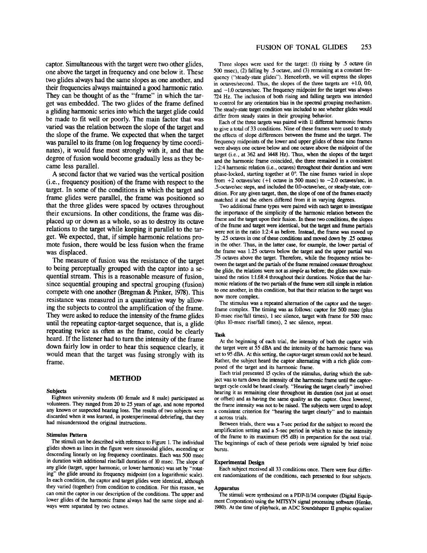**captor. Simultaneous with the target were two other glides, one above the target in frequency and one below it. These two glides always had the same slopes as one another, and their frequencies always maintained a good harmonic ratio. They can be thought of as the "frame" in which the target was embedded. The two glides of the frame defined a gliding harmonic series into which the target glide could be made to fit well or poorly. The main factor that was varied was the relation between the slope of the target and the slope of the frame. We expected that when the target was parallel to its frame (on log frequency by time coordinates), it would fuse most strongly with it, and that the degree of fusion would become gradually less as they became less parallel.**

**A second factor that we varied was the vertical position (i.e., frequency position) of the frame with respect to the target. In some of the conditions in which the target and frame glides were parallel, the frame was positioned so that the three glides were spaced by octaves throughout their excursions. In other conditions, the frame was displaced up or down as a whole, so as to destroy its octave relations to the target while keeping it parallel to the target. We expected, that, if simple harmonic relations promote fusion, there would be less fusion when the frame was displaced.**

**The measure of fusion was the resistance of the target to being perceptually grouped with the captor into a sequential stream. This is a reasonable measure of fusion, since sequential grouping and spectral grouping (fusion) compete with one another (Bregman & Pinker, 1978). This resistance was measured in a quantitative way by allowing the subjects to control the amplification of the frame. They were asked to reduce the intensity of the frame glides until the repeating captor-target sequence, that is, a glide repeating twice as often as the frame, could be clearly heard. If the listener had to turn the intensity of the frame down fairly low in order to hear this sequence clearly, it would mean that the target was fusing strongly with its frame.**

# **METHOD**

## **Subjects**

# Eighteen university students (10 female and 8 male) participated as volunteers. They ranged from 20 to 25 years of age, and none reported any known or suspected hearing loss. The results of two subjects were discarded when it was learned, in postexperimental debriefing, that they had misunderstood the original instructions.

## Stimulus **Pattern**

The stimuli can be described with reference to Figure 1. The individual glides shown as lines in the figure were sinusoidal glides, ascending or descending linearly on log frequency coordinates. Each was 500 msec in duration with additional rise/fall durations of 10 msec. The slope of any glide (target, upper harmonic, or lower harmonic) was set by *"'rotat*ing" the glide around its frequency midpoint (on a logarithmic scale). In each condition, the captor and target glides were identical, although they varied (together) from condition to condition. For this reason, we can omit the captor in our description of the conditions. The upper and lower glides of the harmonic frame always had the same slope and always were separated by two octaves.

Three slopes were used for the target: (1) rising by .5 octave (in 500 msec), (2) falling by .5 octave, and (3) remaining at a constant frequency ("steady-state glides"). Henceforth, we will express the slopes in octaves/second. Thus, the slopes of the three targets are  $+1.0$ , 0.0, and  $-1.0$  octaves/sec. The frequency midpoint for the target was always 724 Hz. The inclusion of both rising and falling targets was intended to control for any orientation bias in the spectral grouping mechanism. The steady-state target condition was included to see whether glides would differ from steady states in their grouping behavior.

Each of the three targets was paired with 11 different harmonic frames to give a total of 33 conditions. Nine of these frames were used to study the effects of slope differences between the frame and the target. The frequency midpoints of the lower and upper glides of these nine frames were always one octave below and one octave above the midpoint of the target (i.e., at 362 and 1448 Hz). Thus, when the slopes of the target and the harmonic frame coincided, the three remained in a consistent 1:2:4 harmonic relation (i.e., octaves) throughout their duration and were phase-locked, starting together at 0°. The nine frames varied in slope from  $+2$  octaves/sec (+1 octave in 500 msec) to  $-2.0$  octaves/sec, in .5-octave/sec steps, and included the 0.0-octave/sec, or steady-state, condition. For any given target, then, the slope of one of the frames exactly matched it and the others differed from it in varying degrees.

Two additional frame types were paired with each target to investigate the importance of the simplicity of the harmonic relation between the frame and the target upon their fusion. In these two conditions, the slopes of the frame and target were identical, but the target and frame partials were not in the ratio 1:2:4 as before. Instead, the frame was moved up by .25 octaves in one of these conditions and moved down by .25 octaves in the other. Thus, in the latter case, for example, the lower partial of the frame was 1.25 octaves below the target and the upper partial was .75 octaves above the target. Therefore, while the frequency ratios between the target and the partials of the frame remained *constant* throughout the glide, the relations were not as *simple* as before; the glides now maintained the ratios 1:1.68:4 throughout their durations. Notice that the harmonic relations of the two partials of the frame were still simple in relation to one another, in this condition, but that their relation to the target was now more complex.

The stimulus was a repeated alternation of the captor and the targetframe complex. The timing was as follows: captor for 500 msec (plus 10-msec rise/fall times), 1 sec silence, target with frame for 500 msec (plus 10-msec rise/fall times), 2 sec silence, repeat.

#### Task

At the beginning of each trial, the intensity of both the captor with the target were **at** 55 dBA and the intensity of the harmonic frame was set to 95 dBA. At this setting, the captor-target stream could not be heard. Rather, the subject heard the captor alternating with a rich glide composed of the target and its harmonic frame.

Each trial presented 15 cycles of the stimulus, during which the subject was to turn down the intensity of the harmonic frame until the captortarget cycle could be heard clearly. "Hearing the target clearly" involved hearing it as remaining clear throughout its duration (not just at onset or offset) and as having the same quality as the captor. Once lowered, the frame intensity was not to be raised. The subjects were urged to adopt a consistent criterion for "heating the target clearly" and to maintain it across trials.

Between trials, there was a 7-sec period for the subject to record the amplification setting and a 5-sec period in which to raise the intensity of the frame to its maximum (95 dB) in preparation for the next trial. The beginnings of each of these periods were signaled by brief noise bursts.

#### Experimental **Design**

Each subject received all 33 conditions once. There were four different randomizations of the conditions, each presented to four subjects.

## **Apparatus**

The stimuli were synthesized on a PDP-11/34 computer (Digital Equipment Corporation) using the MITSYN signal processing software (Henke, 1980). At the time of playback, an ADC Soundshaper II graphic equalizer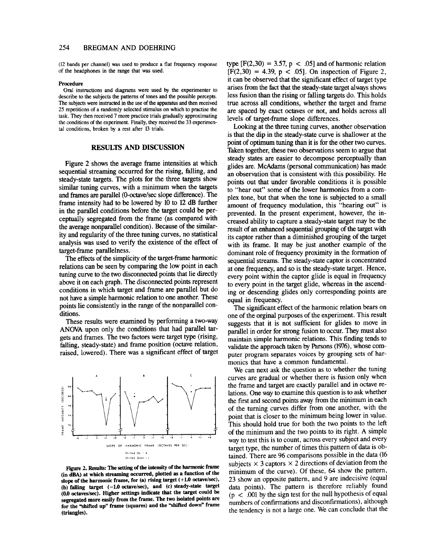(12 bands per channel) was used to produce a flat frequency response of the headphones in the range that was used.

## Procedure

Oral instructions and diagrams were used by the experimenter to describe to the subjects the patterns of tones and the possible percepts. The subjects were instructed in the use of the apparatus and then received 25 repetitions of a randomly selected stimulus on which to practise the task. They then received 7 more practice trials gradually approximating the conditions of the experiment. Finally, they received the 33 experimental conditions, broken by a rest after 13 trials.

# **RESULTS AND DISCUSSION**

Figure 2 shows the average frame intensities at which sequential streaming occurred for the rising, falling, and steady-state targets. The plots for the three targets show similar tuning curves, with a minimum when the targets and frames are parallel (0-octave/sec slope difference). The frame intensity had to be lowered by 10 to 12 dB further in the parallel conditions before the target could be perceptually segregated from the frame (as compared with the average nonparallel condition). Because of the similarity and regularity of the three tuning curves, no statistical analysis was used to verify the existence of the effect of target-frame parallelness.

The effects of the simplicity of the target-frame harmonic relations can be seen by comparing the low point in each tuning curve to the two disconnected points that lie directly above it on each graph. The disconnected points represent conditions in which target and frame are parallel but do not have a simple harmonic relation to one another. These points lie consistently in the range of the nonparallel conditions.

These results were examined by performing a two-way ANOVA upon only the conditions that had parallel targets and frames. The two factors were target type (rising, falling, steady-state) and frame position (octave relation, raised, lowered). There was a significant effect of target



Figure 2. Results: The setting of the intensity **of the harmonic frame (in dBA) at which streaming occurred, plotted as a function of the** slope **of the harmonic frame, for** (a) rising target (+1.0 **octave/sec),** (b) falling target (-1.0 octave/sec), and (c) steady-state target (0.0 octaves/sec). Higher **settings indicate that the target could** be segregated **more easily from the frame. The two** isolated points are **for the "shifted up" frame (squares) and the "shifted down" frame** (triangles).

type  $[F(2,30) = 3.57, p < .05]$  and of harmonic relation  $[F(2,30) = 4.39, p < .05]$ . On inspection of Figure 2, it can be observed that the significant effect of target type arises from the fact that the steady-state target always shows less fusion than the rising or falling targets do. This holds true across all conditions, whether the target and frame are spaced by exact octaves or not, and holds across all levels of target-frame slope differences.

Looking at the three tuning curves, another observation is that the dip in the steady-state curve is shallower at the point of optimum tuning than it is for the other two curves. Taken together, these two observations seem to argue that steady states are easier to decompose perceptually than glides are. McAdams (personal communication) has made an observation that is consistent with this possibility. He points out that under favorable conditions it is possible to "hear out" some of the lower harmonics from a complex tone, but that when the tone is subjected to a small amount of frequency modulation, this "hearing out" is prevented. In the present experiment, however, the increased ability to capture a steady-state target may be the result of an enhanced sequential grouping of the target with its captor rather than a diminished grouping of the target with its frame. It may be just another example of the dominant role of frequency proximity in the formation of sequential streams. The steady-state captor is concentrated at one frequency, and so is the steady-state target. Hence, every point within the captor glide is equal in frequency to every point in the target glide, whereas in the ascending or descending glides only corresponding points are equal in frequency.

The significant effect of the harmonic relation bears on one of the orginal purposes of the experiment. This result suggests that it is not sufficient for glides to move in parallel in order for strong fusion to occur. They must also maintain simple harmonic relations. This finding tends to validate the approach taken by Parsons (1976), whose computer program separates voices by grouping sets of harmonics that have a common fundamental.

We can next ask the question as to whether the tuning curves are gradual or whether there is fusion only when the frame and target are exactly parallel and in octave relations. One way to examine this question is to ask whether the first and second points away from the minimum in each of the turning curves differ from one another, with the point that is closer to the minimum being lower in value. This should hold true for both the two points to the left of the minimum and the two points to its right. A simple way to test this is to count, across every subject and every target type, the number of times this pattern of data is obtained. There are 96 comparisons possible in the data (16 subjects  $\times$  3 captors  $\times$  2 directions of deviation from the minimum of the curve). Of these, 64 show the pattern, 23 show an opposite pattern, and 9 are indecisive (equal data points). The pattern is therefore reliably found  $(p < .001$  by the sign test for the null hypothesis of equal numbers of confirmations and disconfirmations), although the tendency is not a large one. We can conclude that the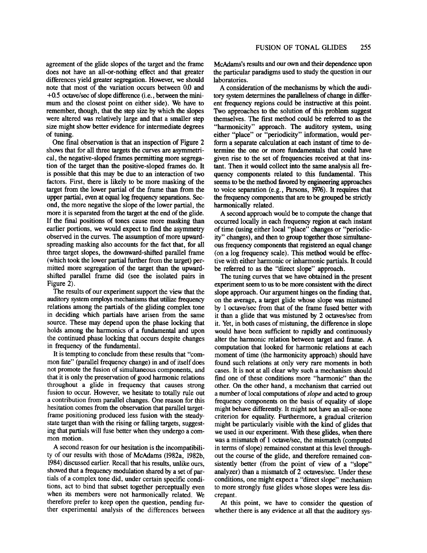agreement of the glide slopes of the target and the frame does not have an all-or-nothing effect and that greater differences yield greater segregation. However, we should note that most of the variation occurs between 0.0 and +0.5 octave/sec of slope difference (i.e., between the minimum and the closest point on either side). We have to remember, though, that the step size by which the slopes were altered was relatively large and that a smaller step size might show better evidence for intermediate degrees of tuning.

One final observation is that an inspection of Figure 2 shows that for all three targets the curves are asymmetrical, the negative-sloped frames permitting more segregation of the target than the positive-sloped frames do. It is possible that this may be due to an interaction of two factors. First, there is likely to be more masking of the target from the lower partial of the frame than from the upper partial, even at equal log frequency separations. Second, the more negative the slope of the lower partial, the more it is separated from the target at the end of the glide. If the final positions of tones cause more masking than earlier portions, we would expect to find the asymmetry observed in the curves. The assumption of more upwardspreading masking also accounts for the fact that, for all three target slopes, the downward-shifted parallel frame (which took the lower partial further from the target) permitted more segregation of the target than the upwardshifted parallel frame did (see the isolated pairs in Figure 2).

The results of our experiment support the view that the auditory system employs mechanisms that utilize frequency relations among the partials of the gliding complex tone in deciding which partials have arisen from the same source. These may depend upon the phase locking that holds among the harmonics of a fundamental and upon the continued phase locking that occurs despite changes in frequency of the fundamental.

It is tempting to conclude from these results that "common fate" (parallel frequency change) in and of itself does not promote the fusion of simultaneous components, and that it is only the preservation of good harmonic relations throughout a glide in frequency that causes strong fusion to occur. However, we hesitate to totally rule out a contribution from parallel changes. One reason for this hesitation comes from the observation that parallel targetframe positioning produced less fusion with the steadystate target than with the rising or falling targets, suggesting that partials will fuse better when they undergo a common motion.

A second reason for our hesitation is the incompatibility of our results with those of McAdams (1982a, 1982b, 1984) discussed earlier. Recall that his results, unlike ours, showed that a frequency modulation shared by a set of partials of a complex tone did, under certain specific conditions, act to bind that subset together perceptually even when its members were not harmonically related. We therefore prefer to keep open the question, pending further experimental analysis of the differences between McAdams's results and our own and their dependence upon the particular paradigms used to study the question in our laboratories.

A consideration of the mechanisms by which the auditory system determines the parallelness of change in different frequency regions could be instructive at this point. Two approaches to the solution of this problem suggest themselves. The first method could be referred to as the "harmonicity" approach. The auditory system, using either "place" or "periodicity" information, would perform a separate calculation at each instant of time to determine the one or more fundamentals that could have given rise to the set of frequencies received at that instant. Then it would collect into the same analysis all frequency components related to this fundamental. This seems to be the method favored by engineering approaches to voice separation (e.g., Parsons, 1976). It requires that the frequency components that are to be grouped be strictly harmonically related.

A second approach would be to compute the change that occurred locally in each frequency region at each instant of time (using either local "place" changes or "periodicity" changes), and then to group together those simultaneous frequency components that registered an equal change (on a log frequency scale). This method would be effective with either harmonic or inharmonic partials. It could be referred to as the "direct slope" approach.

The tuning curves that we have obtained in the present experiment seem to us to be more consistent with the direct slope approach. Our argument hinges on the finding that, on the average, a target glide whose slope was mistuned by 1 octave/sec from that of the frame fused better with it than a glide that was mistuned by 2 octaves/sec from it. Yet, in both cases of mistuning, the difference in slope would have been sufficient to rapidly and continuously alter the harmonic relation between target and frame. A computation that looked for harmonic relations at each moment of time (the harmonicity approach) should have found such relations at oniy very rare moments in both cases. It is not at all clear why such a mechanism should find one of these conditions more "harmonic" than the other. On the other hand, a mechanism that carried out a number of local computations of *slope* and acted to group frequency components on the basis of equality of slope might behave differently. It might not have an all-or-none criterion for equality. Furthermore, a gradual criterion might be particularly visible with the kind of glides that we used in our experiment. With these glides, when there was a mismatch of 1 octave/sec, the mismatch (computed in terms of slope) remained constant at this level throughout the course of the glide, and therefore remained consistently better (from the point of view of a "slope" analyzer) than a mismatch of 2 octaves/sec. Under these conditions, one might expect a "direct slope" mechanism to more strongly fuse glides whose slopes were less discrepant.

At this point, we have to consider the question of whether there is any evidence at all that the auditory sys-